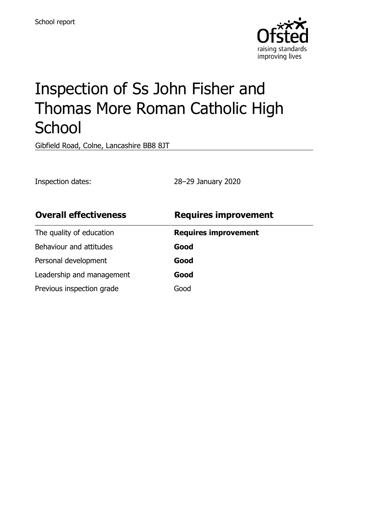

# Inspection of Ss John Fisher and Thomas More Roman Catholic High **School**

Gibfield Road, Colne, Lancashire BB8 8JT

Inspection dates: 28–29 January 2020

| <b>Overall effectiveness</b> | <b>Requires improvement</b> |
|------------------------------|-----------------------------|
| The quality of education     | <b>Requires improvement</b> |
| Behaviour and attitudes      | Good                        |
| Personal development         | Good                        |
| Leadership and management    | Good                        |
| Previous inspection grade    | Good                        |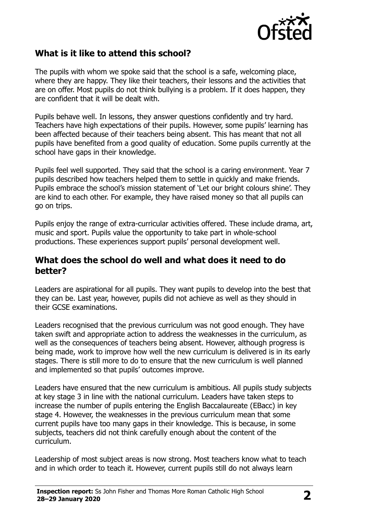

#### **What is it like to attend this school?**

The pupils with whom we spoke said that the school is a safe, welcoming place, where they are happy. They like their teachers, their lessons and the activities that are on offer. Most pupils do not think bullying is a problem. If it does happen, they are confident that it will be dealt with.

Pupils behave well. In lessons, they answer questions confidently and try hard. Teachers have high expectations of their pupils. However, some pupils' learning has been affected because of their teachers being absent. This has meant that not all pupils have benefited from a good quality of education. Some pupils currently at the school have gaps in their knowledge.

Pupils feel well supported. They said that the school is a caring environment. Year 7 pupils described how teachers helped them to settle in quickly and make friends. Pupils embrace the school's mission statement of 'Let our bright colours shine'. They are kind to each other. For example, they have raised money so that all pupils can go on trips.

Pupils enjoy the range of extra-curricular activities offered. These include drama, art, music and sport. Pupils value the opportunity to take part in whole-school productions. These experiences support pupils' personal development well.

#### **What does the school do well and what does it need to do better?**

Leaders are aspirational for all pupils. They want pupils to develop into the best that they can be. Last year, however, pupils did not achieve as well as they should in their GCSE examinations.

Leaders recognised that the previous curriculum was not good enough. They have taken swift and appropriate action to address the weaknesses in the curriculum, as well as the consequences of teachers being absent. However, although progress is being made, work to improve how well the new curriculum is delivered is in its early stages. There is still more to do to ensure that the new curriculum is well planned and implemented so that pupils' outcomes improve.

Leaders have ensured that the new curriculum is ambitious. All pupils study subjects at key stage 3 in line with the national curriculum. Leaders have taken steps to increase the number of pupils entering the English Baccalaureate (EBacc) in key stage 4. However, the weaknesses in the previous curriculum mean that some current pupils have too many gaps in their knowledge. This is because, in some subjects, teachers did not think carefully enough about the content of the curriculum.

Leadership of most subject areas is now strong. Most teachers know what to teach and in which order to teach it. However, current pupils still do not always learn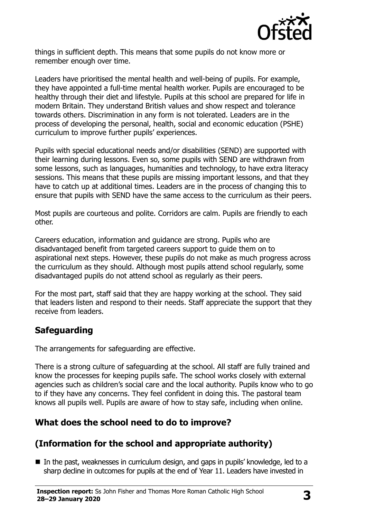

things in sufficient depth. This means that some pupils do not know more or remember enough over time.

Leaders have prioritised the mental health and well-being of pupils. For example, they have appointed a full-time mental health worker. Pupils are encouraged to be healthy through their diet and lifestyle. Pupils at this school are prepared for life in modern Britain. They understand British values and show respect and tolerance towards others. Discrimination in any form is not tolerated. Leaders are in the process of developing the personal, health, social and economic education (PSHE) curriculum to improve further pupils' experiences.

Pupils with special educational needs and/or disabilities (SEND) are supported with their learning during lessons. Even so, some pupils with SEND are withdrawn from some lessons, such as languages, humanities and technology, to have extra literacy sessions. This means that these pupils are missing important lessons, and that they have to catch up at additional times. Leaders are in the process of changing this to ensure that pupils with SEND have the same access to the curriculum as their peers.

Most pupils are courteous and polite. Corridors are calm. Pupils are friendly to each other.

Careers education, information and guidance are strong. Pupils who are disadvantaged benefit from targeted careers support to guide them on to aspirational next steps. However, these pupils do not make as much progress across the curriculum as they should. Although most pupils attend school regularly, some disadvantaged pupils do not attend school as regularly as their peers.

For the most part, staff said that they are happy working at the school. They said that leaders listen and respond to their needs. Staff appreciate the support that they receive from leaders.

#### **Safeguarding**

The arrangements for safeguarding are effective.

There is a strong culture of safeguarding at the school. All staff are fully trained and know the processes for keeping pupils safe. The school works closely with external agencies such as children's social care and the local authority. Pupils know who to go to if they have any concerns. They feel confident in doing this. The pastoral team knows all pupils well. Pupils are aware of how to stay safe, including when online.

#### **What does the school need to do to improve?**

## **(Information for the school and appropriate authority)**

■ In the past, weaknesses in curriculum design, and gaps in pupils' knowledge, led to a sharp decline in outcomes for pupils at the end of Year 11. Leaders have invested in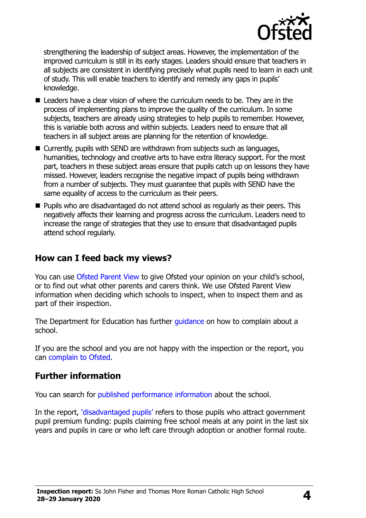

strengthening the leadership of subject areas. However, the implementation of the improved curriculum is still in its early stages. Leaders should ensure that teachers in all subjects are consistent in identifying precisely what pupils need to learn in each unit of study. This will enable teachers to identify and remedy any gaps in pupils' knowledge.

- Leaders have a clear vision of where the curriculum needs to be. They are in the process of implementing plans to improve the quality of the curriculum. In some subjects, teachers are already using strategies to help pupils to remember. However, this is variable both across and within subjects. Leaders need to ensure that all teachers in all subject areas are planning for the retention of knowledge.
- Currently, pupils with SEND are withdrawn from subjects such as languages, humanities, technology and creative arts to have extra literacy support. For the most part, teachers in these subject areas ensure that pupils catch up on lessons they have missed. However, leaders recognise the negative impact of pupils being withdrawn from a number of subjects. They must guarantee that pupils with SEND have the same equality of access to the curriculum as their peers.
- $\blacksquare$  Pupils who are disadvantaged do not attend school as regularly as their peers. This negatively affects their learning and progress across the curriculum. Leaders need to increase the range of strategies that they use to ensure that disadvantaged pupils attend school regularly.

#### **How can I feed back my views?**

You can use [Ofsted Parent View](http://parentview.ofsted.gov.uk/) to give Ofsted your opinion on your child's school, or to find out what other parents and carers think. We use Ofsted Parent View information when deciding which schools to inspect, when to inspect them and as part of their inspection.

The Department for Education has further quidance on how to complain about a school.

If you are the school and you are not happy with the inspection or the report, you can [complain to Ofsted.](http://www.gov.uk/complain-ofsted-report)

#### **Further information**

You can search for [published performance information](http://www.compare-school-performance.service.gov.uk/) about the school.

In the report, '[disadvantaged pupils](http://www.gov.uk/guidance/pupil-premium-information-for-schools-and-alternative-provision-settings)' refers to those pupils who attract government pupil premium funding: pupils claiming free school meals at any point in the last six years and pupils in care or who left care through adoption or another formal route.

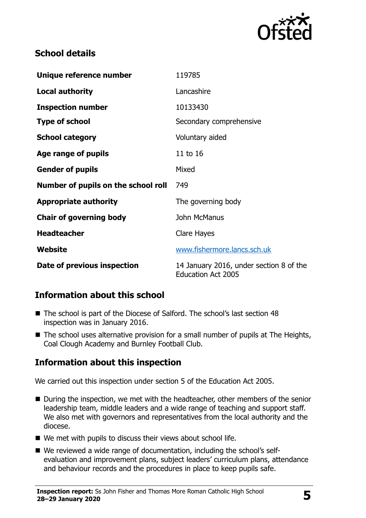

#### **School details**

| Unique reference number             | 119785                                                               |  |
|-------------------------------------|----------------------------------------------------------------------|--|
| <b>Local authority</b>              | Lancashire                                                           |  |
| <b>Inspection number</b>            | 10133430                                                             |  |
| <b>Type of school</b>               | Secondary comprehensive                                              |  |
| <b>School category</b>              | Voluntary aided                                                      |  |
| Age range of pupils                 | 11 to 16                                                             |  |
| <b>Gender of pupils</b>             | Mixed                                                                |  |
| Number of pupils on the school roll | 749                                                                  |  |
| <b>Appropriate authority</b>        | The governing body                                                   |  |
| <b>Chair of governing body</b>      | John McManus                                                         |  |
| <b>Headteacher</b>                  | Clare Hayes                                                          |  |
| Website                             | www.fishermore.lancs.sch.uk                                          |  |
| Date of previous inspection         | 14 January 2016, under section 8 of the<br><b>Education Act 2005</b> |  |

## **Information about this school**

- The school is part of the Diocese of Salford. The school's last section 48 inspection was in January 2016.
- The school uses alternative provision for a small number of pupils at The Heights, Coal Clough Academy and Burnley Football Club.

#### **Information about this inspection**

We carried out this inspection under section 5 of the Education Act 2005.

- During the inspection, we met with the headteacher, other members of the senior leadership team, middle leaders and a wide range of teaching and support staff. We also met with governors and representatives from the local authority and the diocese.
- We met with pupils to discuss their views about school life.
- We reviewed a wide range of documentation, including the school's selfevaluation and improvement plans, subject leaders' curriculum plans, attendance and behaviour records and the procedures in place to keep pupils safe.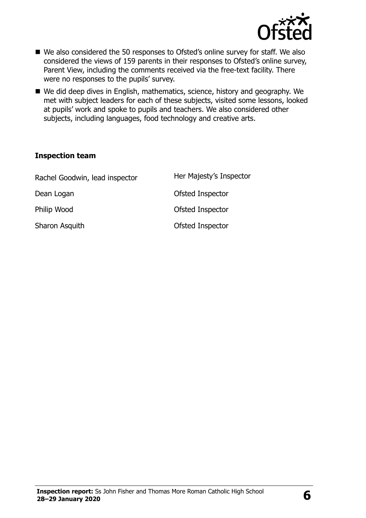

- We also considered the 50 responses to Ofsted's online survey for staff. We also considered the views of 159 parents in their responses to Ofsted's online survey, Parent View, including the comments received via the free-text facility. There were no responses to the pupils' survey.
- We did deep dives in English, mathematics, science, history and geography. We met with subject leaders for each of these subjects, visited some lessons, looked at pupils' work and spoke to pupils and teachers. We also considered other subjects, including languages, food technology and creative arts.

#### **Inspection team**

| Rachel Goodwin, lead inspector | Her Majesty's Inspector |
|--------------------------------|-------------------------|
| Dean Logan                     | Ofsted Inspector        |
| Philip Wood                    | Ofsted Inspector        |
| Sharon Asquith                 | Ofsted Inspector        |